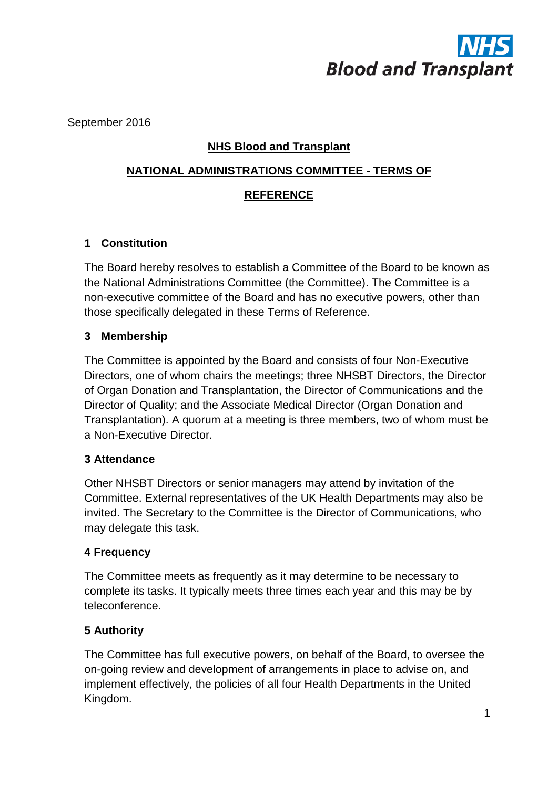

September 2016

## **NHS Blood and Transplant**

# **NATIONAL ADMINISTRATIONS COMMITTEE - TERMS OF**

#### **REFERENCE**

## **1 Constitution**

The Board hereby resolves to establish a Committee of the Board to be known as the National Administrations Committee (the Committee). The Committee is a non-executive committee of the Board and has no executive powers, other than those specifically delegated in these Terms of Reference.

#### **3 Membership**

The Committee is appointed by the Board and consists of four Non-Executive Directors, one of whom chairs the meetings; three NHSBT Directors, the Director of Organ Donation and Transplantation, the Director of Communications and the Director of Quality; and the Associate Medical Director (Organ Donation and Transplantation). A quorum at a meeting is three members, two of whom must be a Non-Executive Director.

## **3 Attendance**

Other NHSBT Directors or senior managers may attend by invitation of the Committee. External representatives of the UK Health Departments may also be invited. The Secretary to the Committee is the Director of Communications, who may delegate this task.

#### **4 Frequency**

The Committee meets as frequently as it may determine to be necessary to complete its tasks. It typically meets three times each year and this may be by teleconference.

## **5 Authority**

The Committee has full executive powers, on behalf of the Board, to oversee the on-going review and development of arrangements in place to advise on, and implement effectively, the policies of all four Health Departments in the United Kingdom.